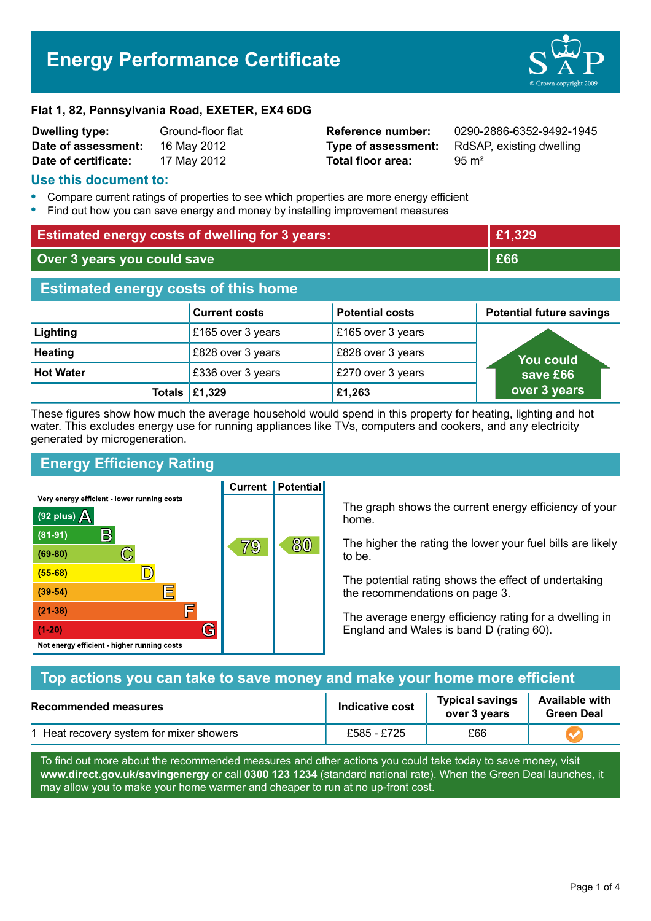# **Energy Performance Certificate**



#### **Flat 1, 82, Pennsylvania Road, EXETER, EX4 6DG**

| <b>Dwelling type:</b> | Ground-floor flat |  |  |
|-----------------------|-------------------|--|--|
| Date of assessment:   | 16 May 2012       |  |  |
| Date of certificate:  | 17 May 2012       |  |  |

**Total floor area:** 95 m<sup>2</sup>

**Reference number:** 0290-2886-6352-9492-1945 **Type of assessment:** RdSAP, existing dwelling

## **Use this document to:**

- **•** Compare current ratings of properties to see which properties are more energy efficient
- **•** Find out how you can save energy and money by installing improvement measures

| <b>Estimated energy costs of dwelling for 3 years:</b> |                      |                        | £1,329                          |  |
|--------------------------------------------------------|----------------------|------------------------|---------------------------------|--|
| Over 3 years you could save                            |                      |                        | £66                             |  |
| <b>Estimated energy costs of this home</b>             |                      |                        |                                 |  |
|                                                        | <b>Current costs</b> | <b>Potential costs</b> | <b>Potential future savings</b> |  |
| Lighting                                               | £165 over 3 years    | £165 over 3 years      |                                 |  |
| <b>Heating</b>                                         | £828 over 3 years    | £828 over 3 years      | <b>You could</b>                |  |
| <b>Hot Water</b>                                       | £336 over 3 years    | £270 over 3 years      | save £66                        |  |
| Totals                                                 | £1,329               | £1,263                 | over 3 years                    |  |

These figures show how much the average household would spend in this property for heating, lighting and hot water. This excludes energy use for running appliances like TVs, computers and cookers, and any electricity generated by microgeneration.

**Current | Potential** 

# **Energy Efficiency Rating**

Very energy efficient - lower running costs



The graph shows the current energy efficiency of your home.

The higher the rating the lower your fuel bills are likely to be.

The potential rating shows the effect of undertaking the recommendations on page 3.

The average energy efficiency rating for a dwelling in England and Wales is band D (rating 60).

| Top actions you can take to save money and make your home more efficient |                        |                                        |                                            |
|--------------------------------------------------------------------------|------------------------|----------------------------------------|--------------------------------------------|
| <b>Recommended measures</b>                                              | <b>Indicative cost</b> | <b>Typical savings</b><br>over 3 years | <b>Available with</b><br><b>Green Deal</b> |
| 1 Heat recovery system for mixer showers                                 | £585 - £725            | £66                                    |                                            |

To find out more about the recommended measures and other actions you could take today to save money, visit **www.direct.gov.uk/savingenergy** or call **0300 123 1234** (standard national rate). When the Green Deal launches, it may allow you to make your home warmer and cheaper to run at no up-front cost.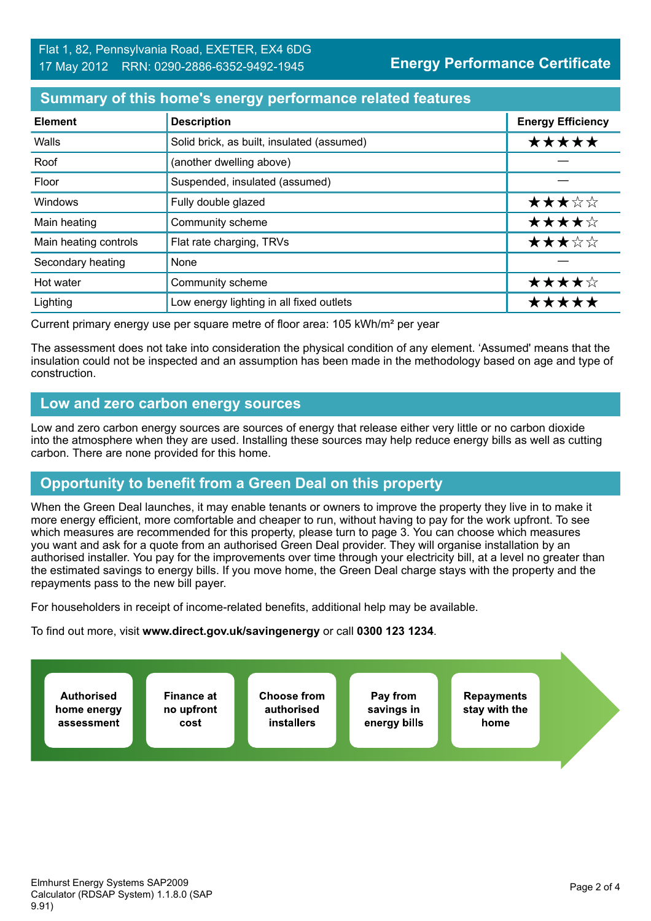# **Summary of this home's energy performance related features**

| <b>Element</b>        | <b>Description</b>                         | <b>Energy Efficiency</b> |
|-----------------------|--------------------------------------------|--------------------------|
| Walls                 | Solid brick, as built, insulated (assumed) | *****                    |
| Roof                  | (another dwelling above)                   |                          |
| Floor                 | Suspended, insulated (assumed)             |                          |
| Windows               | Fully double glazed                        | ★★★☆☆                    |
| Main heating          | Community scheme                           | ★★★★☆                    |
| Main heating controls | Flat rate charging, TRVs                   | ★★★☆☆                    |
| Secondary heating     | None                                       |                          |
| Hot water             | Community scheme                           | ★★★★☆                    |
| Lighting              | Low energy lighting in all fixed outlets   | *****                    |

Current primary energy use per square metre of floor area: 105 kWh/m² per year

The assessment does not take into consideration the physical condition of any element. 'Assumed' means that the insulation could not be inspected and an assumption has been made in the methodology based on age and type of construction.

## **Low and zero carbon energy sources**

Low and zero carbon energy sources are sources of energy that release either very little or no carbon dioxide into the atmosphere when they are used. Installing these sources may help reduce energy bills as well as cutting carbon. There are none provided for this home.

# **Opportunity to benefit from a Green Deal on this property**

When the Green Deal launches, it may enable tenants or owners to improve the property they live in to make it more energy efficient, more comfortable and cheaper to run, without having to pay for the work upfront. To see which measures are recommended for this property, please turn to page 3. You can choose which measures you want and ask for a quote from an authorised Green Deal provider. They will organise installation by an authorised installer. You pay for the improvements over time through your electricity bill, at a level no greater than the estimated savings to energy bills. If you move home, the Green Deal charge stays with the property and the repayments pass to the new bill payer.

For householders in receipt of income-related benefits, additional help may be available.

To find out more, visit **www.direct.gov.uk/savingenergy** or call **0300 123 1234**.

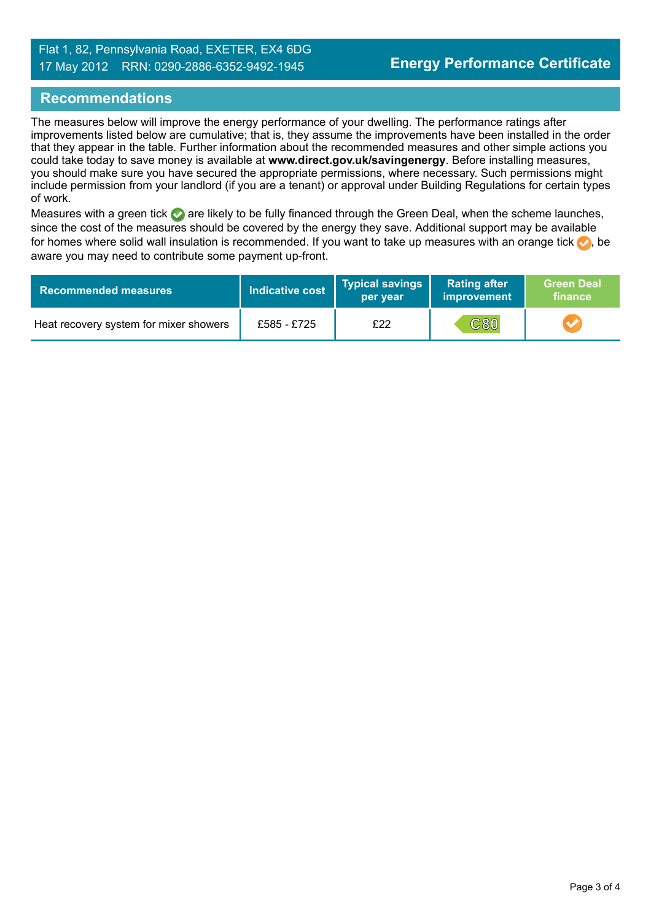## **Recommendations**

The measures below will improve the energy performance of your dwelling. The performance ratings after improvements listed below are cumulative; that is, they assume the improvements have been installed in the order that they appear in the table. Further information about the recommended measures and other simple actions you could take today to save money is available at **www.direct.gov.uk/savingenergy**. Before installing measures, you should make sure you have secured the appropriate permissions, where necessary. Such permissions might include permission from your landlord (if you are a tenant) or approval under Building Regulations for certain types of work.

Measures with a green tick are likely to be fully financed through the Green Deal, when the scheme launches, since the cost of the measures should be covered by the energy they save. Additional support may be available for homes where solid wall insulation is recommended. If you want to take up measures with an orange tick  $\langle \cdot \rangle$ , be aware you may need to contribute some payment up-front.

| <b>Recommended measures</b>            | Indicative cost | Typical savings<br>per year | <b>Rating after</b><br>improvement | <b>Green Deal</b><br>finance |
|----------------------------------------|-----------------|-----------------------------|------------------------------------|------------------------------|
| Heat recovery system for mixer showers | £585 - £725     | £22                         | <b>C80</b>                         |                              |